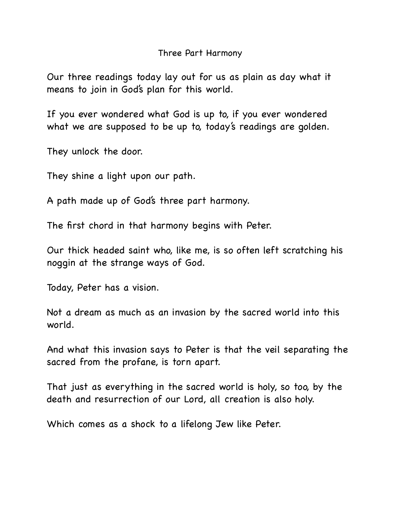## Three Part Harmony

Our three readings today lay out for us as plain as day what it means to join in God's plan for this world.

If you ever wondered what God is up to, if you ever wondered what we are supposed to be up to, today's readings are golden.

They unlock the door.

They shine a light upon our path.

A path made up of God's three part harmony.

The first chord in that harmony begins with Peter.

Our thick headed saint who, like me, is so often left scratching his noggin at the strange ways of God.

Today, Peter has a vision.

Not a dream as much as an invasion by the sacred world into this world.

And what this invasion says to Peter is that the veil separating the sacred from the profane, is torn apart.

That just as everything in the sacred world is holy, so too, by the death and resurrection of our Lord, all creation is also holy.

Which comes as a shock to a lifelong Jew like Peter.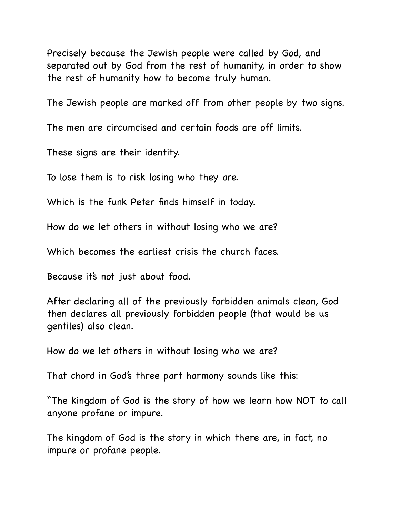Precisely because the Jewish people were called by God, and separated out by God from the rest of humanity, in order to show the rest of humanity how to become truly human.

The Jewish people are marked off from other people by two signs.

The men are circumcised and certain foods are off limits.

These signs are their identity.

To lose them is to risk losing who they are.

Which is the funk Peter finds himself in today.

How do we let others in without losing who we are?

Which becomes the earliest crisis the church faces.

Because it's not just about food.

After declaring all of the previously forbidden animals clean, God then declares all previously forbidden people (that would be us gentiles) also clean.

How do we let others in without losing who we are?

That chord in God's three part harmony sounds like this:

"The kingdom of God is the story of how we learn how NOT to call anyone profane or impure.

The kingdom of God is the story in which there are, in fact, no impure or profane people.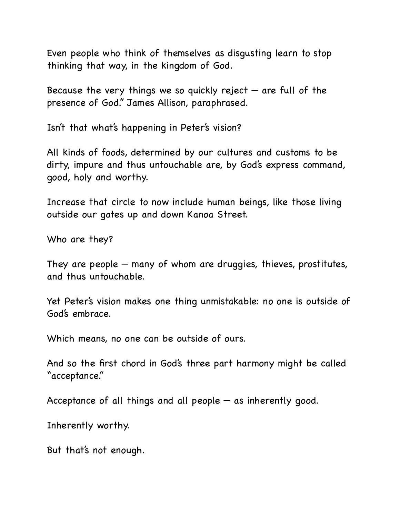Even people who think of themselves as disgusting learn to stop thinking that way, in the kingdom of God.

Because the very things we so quickly reject  $-$  are full of the presence of God." James Allison, paraphrased.

Isn't that what's happening in Peter's vision?

All kinds of foods, determined by our cultures and customs to be dirty, impure and thus untouchable are, by God's express command, good, holy and worthy.

Increase that circle to now include human beings, like those living outside our gates up and down Kanoa Street.

Who are they?

They are people — many of whom are druggies, thieves, prostitutes, and thus untouchable.

Yet Peter's vision makes one thing unmistakable: no one is outside of God's embrace.

Which means, no one can be outside of ours.

And so the first chord in God's three part harmony might be called "acceptance."

Acceptance of all things and all people — as inherently good.

Inherently worthy.

But that's not enough.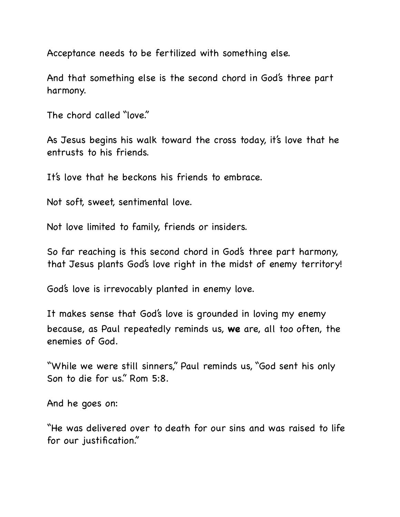Acceptance needs to be fertilized with something else.

And that something else is the second chord in God's three part harmony.

The chord called "love."

As Jesus begins his walk toward the cross today, it's love that he entrusts to his friends.

It's love that he beckons his friends to embrace.

Not soft, sweet, sentimental love.

Not love limited to family, friends or insiders.

So far reaching is this second chord in God's three part harmony, that Jesus plants God's love right in the midst of enemy territory!

God's love is irrevocably planted in enemy love.

It makes sense that God's love is grounded in loving my enemy because, as Paul repeatedly reminds us, **we** are, all too often, the enemies of God.

"While we were still sinners," Paul reminds us, "God sent his only Son to die for us." Rom 5:8.

And he goes on:

"He was delivered over to death for our sins and was raised to life for our justification."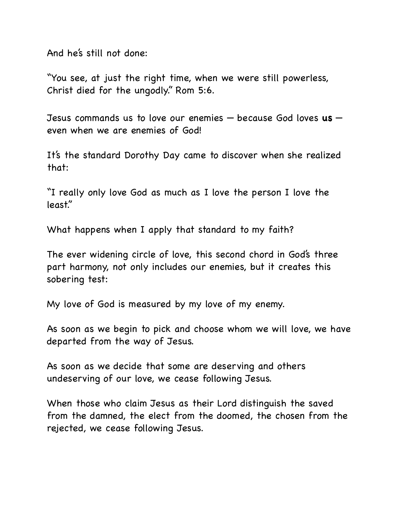And he's still not done:

"You see, at just the right time, when we were still powerless, Christ died for the ungodly." Rom 5:6.

Jesus commands us to love our enemies — because God loves **us** even when we are enemies of God!

It's the standard Dorothy Day came to discover when she realized that:

"I really only love God as much as I love the person I love the least."

What happens when I apply that standard to my faith?

The ever widening circle of love, this second chord in God's three part harmony, not only includes our enemies, but it creates this sobering test:

My love of God is measured by my love of my enemy.

As soon as we begin to pick and choose whom we will love, we have departed from the way of Jesus.

As soon as we decide that some are deserving and others undeserving of our love, we cease following Jesus.

When those who claim Jesus as their Lord distinguish the saved from the damned, the elect from the doomed, the chosen from the rejected, we cease following Jesus.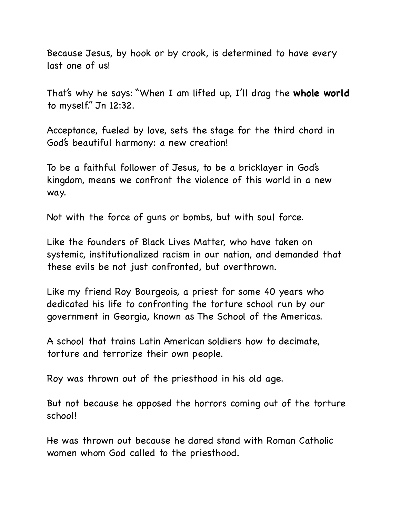Because Jesus, by hook or by crook, is determined to have every last one of us!

That's why he says: "When I am lifted up, I'll drag the **whole world** to myself." Jn 12:32.

Acceptance, fueled by love, sets the stage for the third chord in God's beautiful harmony: a new creation!

To be a faithful follower of Jesus, to be a bricklayer in God's kingdom, means we confront the violence of this world in a new way.

Not with the force of guns or bombs, but with soul force.

Like the founders of Black Lives Matter, who have taken on systemic, institutionalized racism in our nation, and demanded that these evils be not just confronted, but overthrown.

Like my friend Roy Bourgeois, a priest for some 40 years who dedicated his life to confronting the torture school run by our government in Georgia, known as The School of the Americas.

A school that trains Latin American soldiers how to decimate, torture and terrorize their own people.

Roy was thrown out of the priesthood in his old age.

But not because he opposed the horrors coming out of the torture school!

He was thrown out because he dared stand with Roman Catholic women whom God called to the priesthood.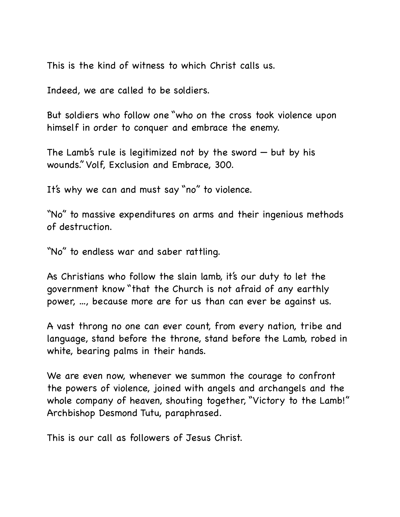This is the kind of witness to which Christ calls us.

Indeed, we are called to be soldiers.

But soldiers who follow one "who on the cross took violence upon himself in order to conquer and embrace the enemy.

The Lamb's rule is legitimized not by the sword  $-$  but by his wounds." Volf, Exclusion and Embrace, 300.

It's why we can and must say "no" to violence.

"No" to massive expenditures on arms and their ingenious methods of destruction.

"No" to endless war and saber rattling.

As Christians who follow the slain lamb, it's our duty to let the government know "that the Church is not afraid of any earthly power, ..., because more are for us than can ever be against us.

A vast throng no one can ever count, from every nation, tribe and language, stand before the throne, stand before the Lamb, robed in white, bearing palms in their hands.

We are even now, whenever we summon the courage to confront the powers of violence, joined with angels and archangels and the whole company of heaven, shouting together, "Victory to the Lamb!" Archbishop Desmond Tutu, paraphrased.

This is our call as followers of Jesus Christ.